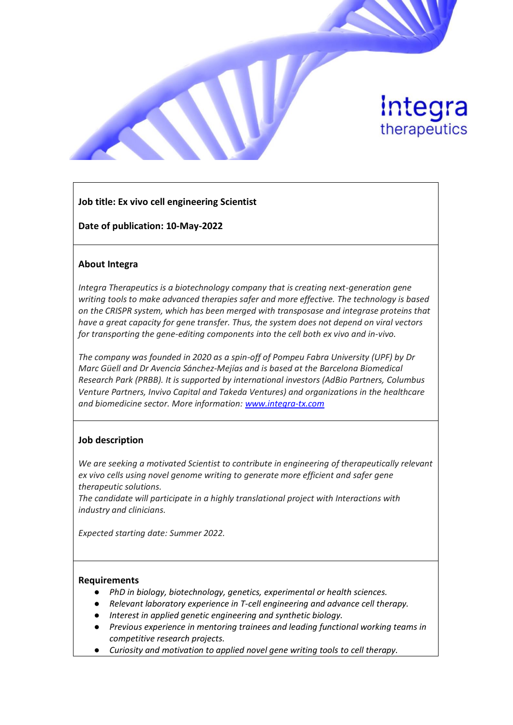

# **Job title: Ex vivo cell engineering Scientist**

**Date of publication: 10-May-2022**

### **About Integra**

*Integra Therapeutics is a biotechnology company that is creating next-generation gene writing tools to make advanced therapies safer and more effective. The technology is based on the CRISPR system, which has been merged with transposase and integrase proteins that have a great capacity for gene transfer. Thus, the system does not depend on viral vectors for transporting the gene-editing components into the cell both ex vivo and in-vivo.*

*The company was founded in 2020 as a spin-off of Pompeu Fabra University (UPF) by Dr Marc Güell and Dr Avencia Sánchez-Mejías and is based at the Barcelona Biomedical Research Park (PRBB). It is supported by international investors (AdBio Partners, Columbus Venture Partners, Invivo Capital and Takeda Ventures) and organizations in the healthcare and biomedicine sector. More information: [www.integra-tx.com](http://www.integra-tx.com/)*

### **Job description**

*We are seeking a motivated Scientist to contribute in engineering of therapeutically relevant ex vivo cells using novel genome writing to generate more efficient and safer gene therapeutic solutions.*

*The candidate will participate in a highly translational project with Interactions with industry and clinicians.*

*Expected starting date: Summer 2022.*

### **Requirements**

- *PhD in biology, biotechnology, genetics, experimental or health sciences.*
- *Relevant laboratory experience in T-cell engineering and advance cell therapy.*
- *Interest in applied genetic engineering and synthetic biology.*
- *Previous experience in mentoring trainees and leading functional working teams in competitive research projects.*
- *Curiosity and motivation to applied novel gene writing tools to cell therapy.*